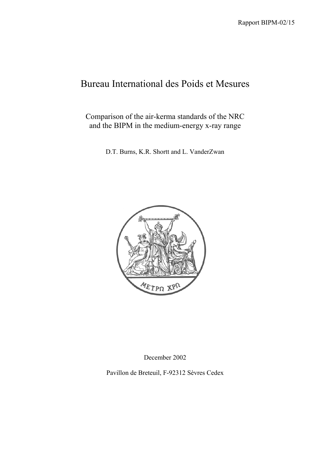# Bureau International des Poids et Mesures

Comparison of the air-kerma standards of the NRC and the BIPM in the medium-energy x-ray range

D.T. Burns, K.R. Shortt and L. VanderZwan



December 2002

Pavillon de Breteuil, F-92312 Sèvres Cedex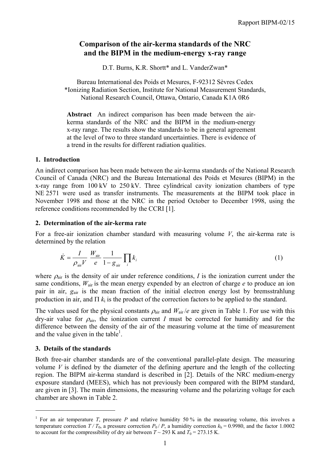# **Comparison of the air-kerma standards of the NRC and the BIPM in the medium-energy x-ray range**

D.T. Burns, K.R. Shortt\* and L. VanderZwan\*

Bureau International des Poids et Mesures, F-92312 Sèvres Cedex \*Ionizing Radiation Section, Institute for National Measurement Standards, National Research Council, Ottawa, Ontario, Canada K1A 0R6

**Abstract** An indirect comparison has been made between the airkerma standards of the NRC and the BIPM in the medium-energy x-ray range. The results show the standards to be in general agreement at the level of two to three standard uncertainties. There is evidence of a trend in the results for different radiation qualities.

### **1. Introduction**

An indirect comparison has been made between the air-kerma standards of the National Research Council of Canada (NRC) and the Bureau International des Poids et Mesures (BIPM) in the x-ray range from 100 kV to 250 kV. Three cylindrical cavity ionization chambers of type NE 2571 were used as transfer instruments. The measurements at the BIPM took place in November 1998 and those at the NRC in the period October to December 1998, using the reference conditions recommended by the CCRI [1].

### **2. Determination of the air-kerma rate**

For a free-air ionization chamber standard with measuring volume *V*, the air-kerma rate is determined by the relation

$$
\dot{K} = \frac{I}{\rho_{\text{air}}V} \frac{W_{\text{air}}}{e} \frac{1}{1 - g_{\text{air}}} \prod_{i} k_{i}
$$
\n(1)

where  $\rho_{\text{air}}$  is the density of air under reference conditions, *I* is the ionization current under the same conditions,  $W_{air}$  is the mean energy expended by an electron of charge  $e$  to produce an ion pair in air, *g*air is the mean fraction of the initial electron energy lost by bremsstrahlung production in air, and  $\Pi$   $k_i$  is the product of the correction factors to be applied to the standard.

The values used for the physical constants  $\rho_{air}$  and  $W_{air}/e$  are given in Table 1. For use with this dry-air value for  $\rho_{air}$ , the ionization current *I* must be corrected for humidity and for the difference between the density of the air of the measuring volume at the time of measurement and the value given in the table<sup>1</sup>.

## **3. Details of the standards**

 $\overline{a}$ 

Both free-air chamber standards are of the conventional parallel-plate design. The measuring volume  $V$  is defined by the diameter of the defining aperture and the length of the collecting region. The BIPM air-kerma standard is described in [2]. Details of the NRC medium-energy exposure standard (MEES), which has not previously been compared with the BIPM standard, are given in [3]. The main dimensions, the measuring volume and the polarizing voltage for each chamber are shown in Table 2.

<sup>&</sup>lt;sup>1</sup> For an air temperature *T*, pressure *P* and relative humidity 50 % in the measuring volume, this involves a temperature correction  $T/T_0$ , a pressure correction  $P_0/P$ , a humidity correction  $k_h = 0.9980$ , and the factor 1.0002 to account for the compressibility of dry air between  $T \sim 293$  K and  $T_0 = 273.15$  K.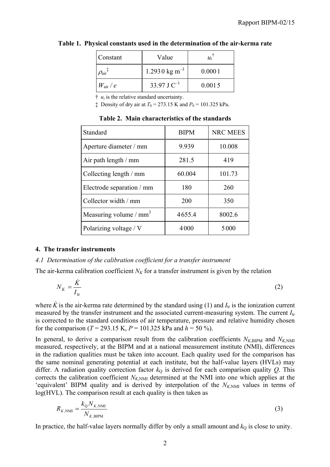| Constant                         | Value                     | $u_i$  |
|----------------------------------|---------------------------|--------|
| $\rho_{\text{air}}$ <sup>+</sup> | 1.2930 kg m <sup>-3</sup> | 0.0001 |
| $W_{\rm air}$ / $e$              | 33.97 J $C^{-1}$          | 0.0015 |

#### **Table 1. Physical constants used in the determination of the air-kerma rate**

 $\dagger u_i$  is the relative standard uncertainty.

 $\ddagger$  Density of dry air at  $T_0 = 273.15$  K and  $P_0 = 101.325$  kPa.

| Standard                           | <b>BIPM</b> | <b>NRC MEES</b> |
|------------------------------------|-------------|-----------------|
| Aperture diameter / mm             | 9.939       | 10.008          |
| Air path length $/$ mm             | 281.5       | 419             |
| Collecting length / mm             | 60.004      | 101.73          |
| Electrode separation / mm          | 180         | 260             |
| Collector width / mm               | 200         | 350             |
| Measuring volume / mm <sup>3</sup> | 4655.4      | 8002.6          |
| Polarizing voltage / V             | 4000        | 5000            |

**Table 2. Main characteristics of the standards**

#### **4. The transfer instruments**

#### *4.1 Determination of the calibration coefficient for a transfer instrument*

The air-kerma calibration coefficient  $N_K$  for a transfer instrument is given by the relation

$$
N_K = \frac{\dot{K}}{I_{\text{tr}}} \tag{2}
$$

where  $\ddot{K}$  is the air-kerma rate determined by the standard using (1) and  $I_{tr}$  is the ionization current measured by the transfer instrument and the associated current-measuring system. The current *I*tr is corrected to the standard conditions of air temperature, pressure and relative humidity chosen for the comparison ( $T = 293.15$  K,  $P = 101325$  kPa and  $h = 50\%$ ).

In general, to derive a comparison result from the calibration coefficients  $N_{K,BIPM}$  and  $N_{K,NMI}$ measured, respectively, at the BIPM and at a national measurement institute (NMI), differences in the radiation qualities must be taken into account. Each quality used for the comparison has the same nominal generating potential at each institute, but the half-value layers (HVLs) may differ. A radiation quality correction factor  $k<sub>Q</sub>$  is derived for each comparison quality *Q*. This corrects the calibration coefficient  $N_{K,NMI}$  determined at the NMI into one which applies at the 'equivalent' BIPM quality and is derived by interpolation of the  $N_{K,NM}$  values in terms of log(HVL). The comparison result at each quality is then taken as

$$
R_{K,\text{NMI}} = \frac{k_{\text{Q}} N_{K,\text{NMI}}}{N_{K,\text{BIPM}}} \tag{3}
$$

In practice, the half-value layers normally differ by only a small amount and  $k<sub>Q</sub>$  is close to unity.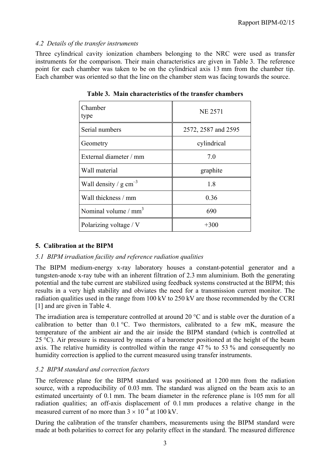#### *4.2 Details of the transfer instruments*

Three cylindrical cavity ionization chambers belonging to the NRC were used as transfer instruments for the comparison. Their main characteristics are given in Table 3. The reference point for each chamber was taken to be on the cylindrical axis 13 mm from the chamber tip. Each chamber was oriented so that the line on the chamber stem was facing towards the source.

| Chamber<br>type                    | <b>NE 2571</b>      |
|------------------------------------|---------------------|
| Serial numbers                     | 2572, 2587 and 2595 |
| Geometry                           | cylindrical         |
| External diameter / mm             | 7.0                 |
| Wall material                      | graphite            |
| Wall density / $g \text{ cm}^{-3}$ | 1.8                 |
| Wall thickness / mm                | 0.36                |
| Nominal volume $/mm3$              | 690                 |
| Polarizing voltage / V             | $+300$              |

**Table 3. Main characteristics of the transfer chambers**

## **5. Calibration at the BIPM**

#### *5.1 BIPM irradiation facility and reference radiation qualities*

The BIPM medium-energy x-ray laboratory houses a constant-potential generator and a tungsten-anode x-ray tube with an inherent filtration of 2.3 mm aluminium. Both the generating potential and the tube current are stabilized using feedback systems constructed at the BIPM; this results in a very high stability and obviates the need for a transmission current monitor. The radiation qualities used in the range from 100 kV to 250 kV are those recommended by the CCRI [1] and are given in Table 4.

The irradiation area is temperature controlled at around 20 °C and is stable over the duration of a calibration to better than  $0.1 \degree C$ . Two thermistors, calibrated to a few mK, measure the temperature of the ambient air and the air inside the BIPM standard (which is controlled at 25 °C). Air pressure is measured by means of a barometer positioned at the height of the beam axis. The relative humidity is controlled within the range 47 % to 53 % and consequently no humidity correction is applied to the current measured using transfer instruments.

## *5.2 BIPM standard and correction factors*

The reference plane for the BIPM standard was positioned at 1 200 mm from the radiation source, with a reproducibility of 0.03 mm. The standard was aligned on the beam axis to an estimated uncertainty of 0.1 mm. The beam diameter in the reference plane is 105 mm for all radiation qualities; an off-axis displacement of 0.1 mm produces a relative change in the measured current of no more than  $3 \times 10^{-4}$  at 100 kV.

During the calibration of the transfer chambers, measurements using the BIPM standard were made at both polarities to correct for any polarity effect in the standard. The measured difference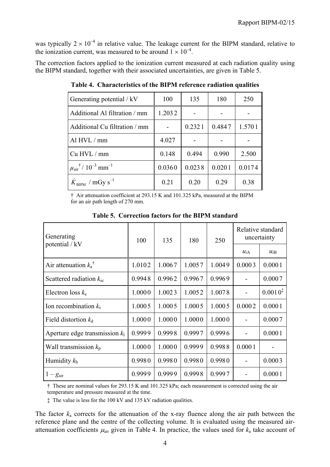was typically  $2 \times 10^{-4}$  in relative value. The leakage current for the BIPM standard, relative to the ionization current, was measured to be around  $1 \times 10^{-4}$ .

The correction factors applied to the ionization current measured at each radiation quality using the BIPM standard, together with their associated uncertainties, are given in Table 5.

| Generating potential / kV                                             | 100    | 135    | 180    | 250    |
|-----------------------------------------------------------------------|--------|--------|--------|--------|
| Additional Al filtration / mm                                         | 1.2032 |        |        |        |
| Additional Cu filtration / mm                                         |        | 0.2321 | 0.4847 | 1.5701 |
| Al $HVL/mm$                                                           | 4.027  |        |        |        |
| Cu HVL / mm                                                           | 0.148  | 0.494  | 0.990  | 2.500  |
| $\mu$ <sub>air</sub> <sup>†</sup> / 10 <sup>-3</sup> mm <sup>-1</sup> | 0.0360 | 0.0238 | 0.0201 | 0.0174 |
| $K_{\text{BIPM}}$ / mGy s <sup>-1</sup>                               | 0.21   | 0.20   | 0.29   | 0.38   |

**Table 4. Characteristics of the BIPM reference radiation qualities**

† Air attenuation coefficient at 293.15 K and 101.325 kPa, measured at the BIPM for an air path length of 270 mm.

| Generating                       | 100    | 135    | 180    | 250    | Relative standard<br>uncertainty |              |
|----------------------------------|--------|--------|--------|--------|----------------------------------|--------------|
| potential / kV                   |        |        |        |        | $u_{iA}$                         | $u_{iB}$     |
| Air attenuation $k_a^{\dagger}$  | 1.0102 | 1.0067 | 1.0057 | 1.0049 | 0.0003                           | 0.0001       |
| Scattered radiation $k_{\rm sc}$ | 0.9948 | 0.9962 | 0.9967 | 0.9969 |                                  | 0.0007       |
| Electron loss $k_e$              | 1.0000 | 1.0023 | 1.0052 | 1.0078 |                                  | $0.0010^{4}$ |
| Ion recombination $k_s$          | 1.0005 | 1.0005 | 1.0005 | 1.0005 | 0.0002                           | 0.0001       |
| Field distortion $k_d$           | 1.0000 | 1.0000 | 1.0000 | 1.0000 |                                  | 0.0007       |
| Aperture edge transmission $k_1$ | 0.9999 | 0.9998 | 0.9997 | 0.9996 |                                  | 0.0001       |
| Wall transmission $k_p$          | 1.0000 | 1.0000 | 0.9999 | 0.9988 | 0.0001                           |              |
| Humidity $k_h$                   | 0.9980 | 0.9980 | 0.9980 | 0.9980 |                                  | 0.0003       |
| $1-g_{\text{air}}$               | 0.9999 | 0.9999 | 0.9998 | 0.9997 |                                  | 0.0001       |

**Table 5. Correction factors for the BIPM standard**

† These are nominal values for 293.15 K and 101.325 kPa; each measurement is corrected using the air temperature and pressure measured at the time.

‡ The value is less for the 100 kV and 135 kV radiation qualities.

The factor *k*a corrects for the attenuation of the x-ray fluence along the air path between the reference plane and the centre of the collecting volume. It is evaluated using the measured airattenuation coefficients  $\mu_{air}$  given in Table 4. In practice, the values used for  $k_a$  take account of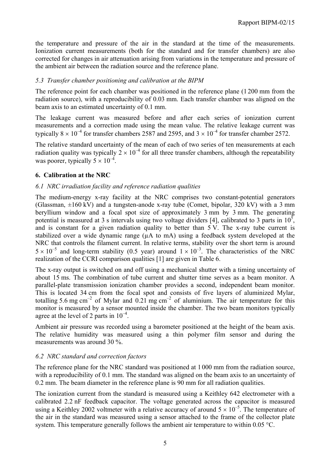the temperature and pressure of the air in the standard at the time of the measurements. Ionization current measurements (both for the standard and for transfer chambers) are also corrected for changes in air attenuation arising from variations in the temperature and pressure of the ambient air between the radiation source and the reference plane.

## *5.3 Transfer chamber positioning and calibration at the BIPM*

The reference point for each chamber was positioned in the reference plane (1 200 mm from the radiation source), with a reproducibility of 0.03 mm. Each transfer chamber was aligned on the beam axis to an estimated uncertainty of 0.1 mm.

The leakage current was measured before and after each series of ionization current measurements and a correction made using the mean value. The relative leakage current was typically  $8 \times 10^{-4}$  for transfer chambers 2587 and 2595, and  $3 \times 10^{-4}$  for transfer chamber 2572.

The relative standard uncertainty of the mean of each of two series of ten measurements at each radiation quality was typically  $2 \times 10^{-4}$  for all three transfer chambers, although the repeatability was poorer, typically  $5 \times 10^{-4}$ .

# **6. Calibration at the NRC**

# *6.1 NRC irradiation facility and reference radiation qualities*

The medium-energy x-ray facility at the NRC comprises two constant-potential generators (Glassman,  $\pm 160$  kV) and a tungsten-anode x-ray tube (Comet, bipolar, 320 kV) with a 3 mm beryllium window and a focal spot size of approximately 3 mm by 3 mm. The generating potential is measured at 3 s intervals using two voltage dividers [4], calibrated to 3 parts in  $10^5$ , and is constant for a given radiation quality to better than 5 V. The x-ray tube current is stabilized over a wide dynamic range ( $\mu A$  to mA) using a feedback system developed at the NRC that controls the filament current. In relative terms, stability over the short term is around  $5 \times 10^{-5}$  and long-term stability (0.5 year) around  $1 \times 10^{-3}$ . The characteristics of the NRC realization of the CCRI comparison qualities [1] are given in Table 6.

The x-ray output is switched on and off using a mechanical shutter with a timing uncertainty of about 15 ms. The combination of tube current and shutter time serves as a beam monitor. A parallel-plate transmission ionization chamber provides a second, independent beam monitor. This is located 34 cm from the focal spot and consists of five layers of aluminized Mylar, totalling 5.6 mg cm<sup>-2</sup> of Mylar and 0.21 mg cm<sup>-2</sup> of aluminium. The air temperature for this monitor is measured by a sensor mounted inside the chamber. The two beam monitors typically agree at the level of 2 parts in  $10^{-4}$ .

Ambient air pressure was recorded using a barometer positioned at the height of the beam axis. The relative humidity was measured using a thin polymer film sensor and during the measurements was around 30 %.

## *6.2 NRC standard and correction factors*

The reference plane for the NRC standard was positioned at 1 000 mm from the radiation source, with a reproducibility of 0.1 mm. The standard was aligned on the beam axis to an uncertainty of 0.2 mm. The beam diameter in the reference plane is 90 mm for all radiation qualities.

The ionization current from the standard is measured using a Keithley 642 electrometer with a calibrated 2.2 nF feedback capacitor. The voltage generated across the capacitor is measured using a Keithley 2002 voltmeter with a relative accuracy of around  $5 \times 10^{-5}$ . The temperature of the air in the standard was measured using a sensor attached to the frame of the collector plate system. This temperature generally follows the ambient air temperature to within 0.05 °C.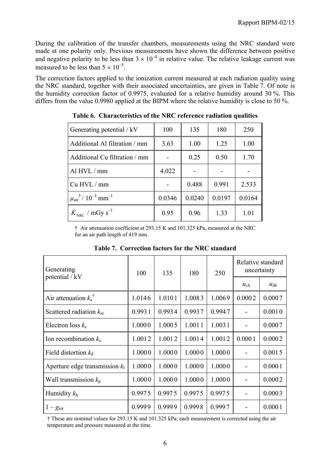During the calibration of the transfer chambers, measurements using the NRC standard were made at one polarity only. Previous measurements have shown the difference between positive and negative polarity to be less than  $3 \times 10^{-4}$  in relative value. The relative leakage current was measured to be less than  $5 \times 10^{-5}$ .

The correction factors applied to the ionization current measured at each radiation quality using the NRC standard, together with their associated uncertainties, are given in Table 7. Of note is the humidity correction factor of 0.9975, evaluated for a relative humidity around 30 %. This differs from the value 0.9980 applied at the BIPM where the relative humidity is close to 50 %.

| Generating potential / kV                                 | 100    | 135    | 180    | 250    |
|-----------------------------------------------------------|--------|--------|--------|--------|
| Additional Al filtration / mm                             | 3.63   | 1.00   | 1.25   | 1.00   |
| Additional Cu filtration / mm                             |        | 0.25   | 0.50   | 1.70   |
| Al HVL / mm                                               | 4.022  |        |        |        |
| Cu HVL / mm                                               |        | 0.488  | 0.991  | 2.533  |
| $\mu_{\text{air}}^{\dagger}$ / $10^{-3}$ mm <sup>-1</sup> | 0.0346 | 0.0240 | 0.0197 | 0.0164 |
| $K_{\text{NRC}}$ / mGy s <sup>-1</sup>                    | 0.95   | 0.96   | 1.33   | 1.01   |

**Table 6. Characteristics of the NRC reference radiation qualities**

† Air attenuation coefficient at 293.15 K and 101.325 kPa, measured at the NRC for an air path length of 419 mm.

| Generating                       | 100    | 135    | 180    | 250    | Relative standard<br>uncertainty |          |
|----------------------------------|--------|--------|--------|--------|----------------------------------|----------|
| potential / kV                   |        |        |        |        | $u_{iA}$                         | $u_{iB}$ |
| Air attenuation $k_a^{\dagger}$  | 1.0146 | 1.0101 | 1.0083 | 1.0069 | 0.0002                           | 0.0007   |
| Scattered radiation $k_{\rm sc}$ | 0.9931 | 0.9934 | 0.9937 | 0.9947 |                                  | 0.0010   |
| Electron loss $k_e$              | 1.0000 | 1.0005 | 1.0011 | 1.0031 |                                  | 0.0007   |
| Ion recombination $k_s$          | 1.0012 | 1.0012 | 1.0014 | 1.0012 | 0.0001                           | 0.0002   |
| Field distortion $k_d$           | 1.0000 | 1.0000 | 1.0000 | 1.0000 |                                  | 0.0015   |
| Aperture edge transmission $k_1$ | 1.0000 | 1.0000 | 1.0000 | 1.0000 |                                  | 0.0001   |
| Wall transmission $k_p$          | 1.0000 | 1.0000 | 1.0000 | 1.0000 | $\overline{\phantom{a}}$         | 0.0002   |
| Humidity $k_h$                   | 0.9975 | 0.9975 | 0.9975 | 0.9975 |                                  | 0.0003   |
| $1-g_{\text{air}}$               | 0.9999 | 0.9999 | 0.9998 | 0.9997 |                                  | 0.0001   |

**Table 7. Correction factors for the NRC standard**

† These are nominal values for 293.15 K and 101.325 kPa; each measurement is corrected using the air temperature and pressure measured at the time.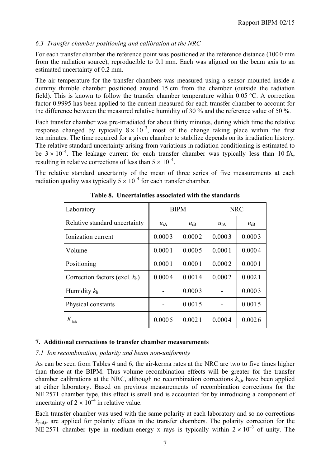# *6.3 Transfer chamber positioning and calibration at the NRC*

For each transfer chamber the reference point was positioned at the reference distance (100 0 mm from the radiation source), reproducible to 0.1 mm. Each was aligned on the beam axis to an estimated uncertainty of 0.2 mm.

The air temperature for the transfer chambers was measured using a sensor mounted inside a dummy thimble chamber positioned around 15 cm from the chamber (outside the radiation field). This is known to follow the transfer chamber temperature within 0.05 °C. A correction factor 0.9995 has been applied to the current measured for each transfer chamber to account for the difference between the measured relative humidity of 30 % and the reference value of 50 %.

Each transfer chamber was pre-irradiated for about thirty minutes, during which time the relative response changed by typically  $8 \times 10^{-3}$ , most of the change taking place within the first ten minutes. The time required for a given chamber to stabilize depends on its irradiation history. The relative standard uncertainty arising from variations in radiation conditioning is estimated to be  $3 \times 10^{-4}$ . The leakage current for each transfer chamber was typically less than 10 fA, resulting in relative corrections of less than  $5 \times 10^{-4}$ .

The relative standard uncertainty of the mean of three series of five measurements at each radiation quality was typically  $5 \times 10^{-4}$  for each transfer chamber.

| Laboratory                        | <b>BIPM</b> |          | <b>NRC</b> |          |
|-----------------------------------|-------------|----------|------------|----------|
| Relative standard uncertainty     | $u_{iA}$    | $u_{iB}$ |            | $u_{iB}$ |
| Ionization current                | 0.0003      | 0.0002   | 0.0003     | 0.0003   |
| Volume                            | 0.0001      | 0.0005   | 0.0001     | 0.0004   |
| Positioning                       | 0.0001      | 0.0001   | 0.0002     | 0.0001   |
| Correction factors (excl. $k_h$ ) | 0.0004      | 0.0014   | 0.0002     | 0.0021   |
| Humidity $k_h$                    |             | 0.0003   |            | 0.0003   |
| Physical constants                |             | 0.0015   |            | 0.0015   |
| $\dot{K}^{\,}_{\mathrm{lab}}$     | 0.0005      | 0.0021   | 0.0004     | 0.0026   |

**Table 8. Uncertainties associated with the standards**

#### **7. Additional corrections to transfer chamber measurements**

#### *7.1 Ion recombination, polarity and beam non-uniformity*

As can be seen from Tables 4 and 6, the air-kerma rates at the NRC are two to five times higher than those at the BIPM. Thus volume recombination effects will be greater for the transfer chamber calibrations at the NRC, although no recombination corrections  $k_{\text{str}}$  have been applied at either laboratory. Based on previous measurements of recombination corrections for the NE 2571 chamber type, this effect is small and is accounted for by introducing a component of uncertainty of  $2 \times 10^{-4}$  in relative value.

Each transfer chamber was used with the same polarity at each laboratory and so no corrections  $k_{\text{pol-tr}}$  are applied for polarity effects in the transfer chambers. The polarity correction for the NE 2571 chamber type in medium-energy x rays is typically within  $2 \times 10^{-3}$  of unity. The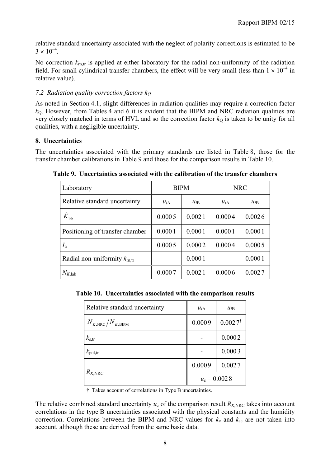relative standard uncertainty associated with the neglect of polarity corrections is estimated to be  $3 \times 10^{-4}$ 

No correction  $k_{\text{m,tr}}$  is applied at either laboratory for the radial non-uniformity of the radiation field. For small cylindrical transfer chambers, the effect will be very small (less than  $1 \times 10^{-4}$  in relative value).

# *7.2 Radiation quality correction factors kQ*

As noted in Section 4.1, slight differences in radiation qualities may require a correction factor *k*Q. However, from Tables 4 and 6 it is evident that the BIPM and NRC radiation qualities are very closely matched in terms of HVL and so the correction factor  $k_0$  is taken to be unity for all qualities, with a negligible uncertainty.

# **8. Uncertainties**

The uncertainties associated with the primary standards are listed in Table 8, those for the transfer chamber calibrations in Table 9 and those for the comparison results in Table 10.

| Laboratory                              | <b>BIPM</b>          |        | <b>NRC</b> |          |  |
|-----------------------------------------|----------------------|--------|------------|----------|--|
| Relative standard uncertainty           | $u_{iA}$<br>$u_{iB}$ |        | $u_{iA}$   | $u_{iB}$ |  |
| $\dot{K}_{\rm lab}$                     | 0.0005               | 0.0021 | 0.0004     | 0.0026   |  |
| Positioning of transfer chamber         | 0.0001               | 0.0001 | 0.0001     | 0.0001   |  |
| $I_{tr}$                                | 0.0005               | 0.0002 | 0.0004     | 0.0005   |  |
| Radial non-uniformity $k_{\text{m,tr}}$ |                      | 0.0001 |            | 0.0001   |  |
| $N_{K,lab}$                             | 0.0007               | 0.0021 | 0.0006     | 0.0027   |  |

**Table 9. Uncertainties associated with the calibration of the transfer chambers**

**Table 10. Uncertainties associated with the comparison results**

| Relative standard uncertainty        | $u_{iA}$         | $u_{iB}$           |  |
|--------------------------------------|------------------|--------------------|--|
| $N_{K,\text{NRC}}/N_{K,\text{BIPM}}$ | 0.0009           | $0.0027^{\dagger}$ |  |
| $k_{\rm s,tr}$                       |                  | 0.0002             |  |
| $k_{\text{pol,tr}}$                  |                  | 0.0003             |  |
|                                      | 0.0009<br>0.0027 |                    |  |
| $R_{K,\mathrm{NRC}}$                 | $u_c = 0.0028$   |                    |  |

† Takes account of correlations in Type B uncertainties.

The relative combined standard uncertainty  $u_c$  of the comparison result  $R_{KNRC}$  takes into account correlations in the type B uncertainties associated with the physical constants and the humidity correction. Correlations between the BIPM and NRC values for  $k_e$  and  $k_{sc}$  are not taken into account, although these are derived from the same basic data.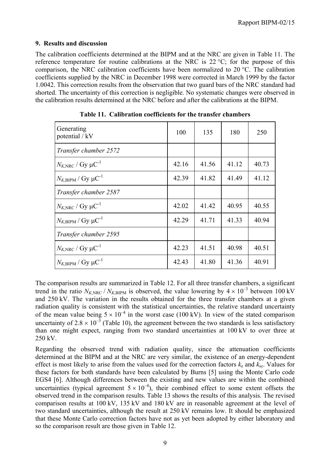### **9. Results and discussion**

The calibration coefficients determined at the BIPM and at the NRC are given in Table 11. The reference temperature for routine calibrations at the NRC is 22 °C; for the purpose of this comparison, the NRC calibration coefficients have been normalized to 20 °C. The calibration coefficients supplied by the NRC in December 1998 were corrected in March 1999 by the factor 1.0042. This correction results from the observation that two guard bars of the NRC standard had shorted. The uncertainty of this correction is negligible. No systematic changes were observed in the calibration results determined at the NRC before and after the calibrations at the BIPM.

| Generating<br>potential / kV                | 100   | 135   | 180   | 250   |
|---------------------------------------------|-------|-------|-------|-------|
| Transfer chamber 2572                       |       |       |       |       |
| $N_{K,\text{NRC}}$ / Gy $\mu\text{C}^{-1}$  | 42.16 | 41.56 | 41.12 | 40.73 |
| $N_{K,\text{BIPM}}$ / Gy $\mu\text{C}^{-1}$ | 42.39 | 41.82 | 41.49 | 41.12 |
| Transfer chamber 2587                       |       |       |       |       |
| $N_{K,\text{NRC}}$ / Gy $\mu\text{C}^{-1}$  | 42.02 | 41.42 | 40.95 | 40.55 |
| $N_{K,\text{BIPM}}$ / Gy $\mu\text{C}^{-1}$ | 42.29 | 41.71 | 41.33 | 40.94 |
| Transfer chamber 2595                       |       |       |       |       |
| $N_{K,\text{NRC}}$ / Gy $\mu\text{C}^{-1}$  | 42.23 | 41.51 | 40.98 | 40.51 |
| $N_{K,\text{BIPM}}$ / Gy $\mu\text{C}^{-1}$ | 42.43 | 41.80 | 41.36 | 40.91 |

**Table 11. Calibration coefficients for the transfer chambers**

The comparison results are summarized in Table 12. For all three transfer chambers, a significant trend in the ratio  $N_{K,\text{NRC}}/N_{K,\text{BIPM}}$  is observed, the value lowering by  $4 \times 10^{-3}$  between 100 kV and 250 kV. The variation in the results obtained for the three transfer chambers at a given radiation quality is consistent with the statistical uncertainties, the relative standard uncertainty of the mean value being  $5 \times 10^{-4}$  in the worst case (100 kV). In view of the stated comparison uncertainty of  $2.8 \times 10^{-3}$  (Table 10), the agreement between the two standards is less satisfactory than one might expect, ranging from two standard uncertainties at 100 kV to over three at 250 kV.

Regarding the observed trend with radiation quality, since the attenuation coefficients determined at the BIPM and at the NRC are very similar, the existence of an energy-dependent effect is most likely to arise from the values used for the correction factors  $k_e$  and  $k_{sc}$ . Values for these factors for both standards have been calculated by Burns [5] using the Monte Carlo code EGS4 [6]. Although differences between the existing and new values are within the combined uncertainties (typical agreement  $5 \times 10^{-4}$ ), their combined effect to some extent offsets the observed trend in the comparison results. Table 13 shows the results of this analysis. The revised comparison results at 100 kV, 135 kV and 180 kV are in reasonable agreement at the level of two standard uncertainties, although the result at 250 kV remains low. It should be emphasized that these Monte Carlo correction factors have not as yet been adopted by either laboratory and so the comparison result are those given in Table 12.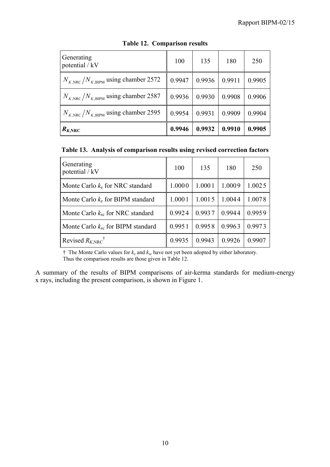| Generating<br>potential / kV                            | 100    | 135    | 180    | 250    |
|---------------------------------------------------------|--------|--------|--------|--------|
| $N_{K,\text{NRC}}/N_{K,\text{BIPM}}$ using chamber 2572 | 0.9947 | 0.9936 | 0.9911 | 0.9905 |
| $N_{K,\text{NRC}}/N_{K,\text{BIPM}}$ using chamber 2587 | 0.9936 | 0.9930 | 0.9908 | 0.9906 |
| $N_{K,\text{NRC}}/N_{K,\text{BIPM}}$ using chamber 2595 | 0.9954 | 0.9931 | 0.9909 | 0.9904 |
| $R_{K, \text{NRC}}$                                     | 0.9946 | 0.9932 | 0.9910 | 0.9905 |

# **Table 12. Comparison results**

**Table 13. Analysis of comparison results using revised correction factors**

| Generating<br>potential / kV               | 100    | 135    | 180    | 250    |
|--------------------------------------------|--------|--------|--------|--------|
| Monte Carlo $k_e$ for NRC standard         | 1.0000 | 1.0001 | 1.0009 | 1.0025 |
| Monte Carlo $k_e$ for BIPM standard        | 1.0001 | 1.0015 | 1.0044 | 1.0078 |
| Monte Carlo $k_{\rm sc}$ for NRC standard  | 0.9924 | 0.9937 | 0.9944 | 0.9959 |
| Monte Carlo $k_{\rm sc}$ for BIPM standard | 0.9951 | 0.9958 | 0.9963 | 0.9973 |
| Revised $R_{K, \text{NRC}}$ <sup>†</sup>   | 0.9935 | 0.9943 | 0.9926 | 0.9907 |

 $\dagger$  The Monte Carlo values for  $k_e$  and  $k_{sc}$  have not yet been adopted by either laboratory. Thus the comparison results are those given in Table 12.

A summary of the results of BIPM comparisons of air-kerma standards for medium-energy x rays, including the present comparison, is shown in Figure 1.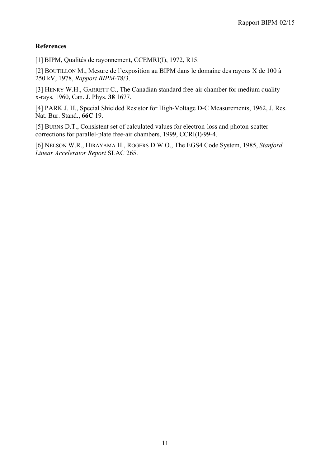# **References**

[1] BIPM, Qualités de rayonnement, CCEMRI(I), 1972, R15.

[2] BOUTILLON M., Mesure de l'exposition au BIPM dans le domaine des rayons X de 100 à 250 kV, 1978, *Rapport BIPM-*78/3.

[3] HENRY W.H., GARRETT C., The Canadian standard free-air chamber for medium quality x-rays, 1960, Can. J. Phys. **38** 1677.

[4] PARK J. H., Special Shielded Resistor for High-Voltage D-C Measurements, 1962, J. Res. Nat. Bur. Stand., **66C** 19.

[5] BURNS D.T., Consistent set of calculated values for electron-loss and photon-scatter corrections for parallel-plate free-air chambers, 1999, CCRI(I)/99-4.

[6] NELSON W.R., HIRAYAMA H., ROGERS D.W.O., The EGS4 Code System, 1985, *Stanford Linear Accelerator Report* SLAC 265.